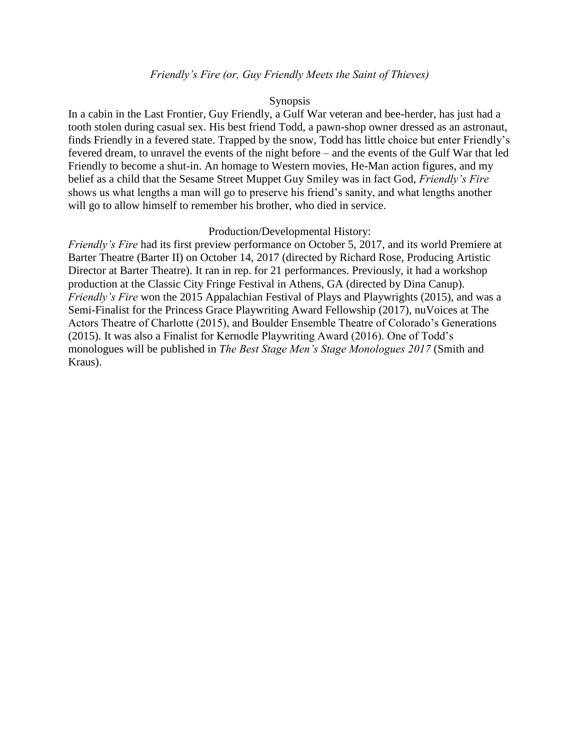#### *Friendly's Fire (or, Guy Friendly Meets the Saint of Thieves)*

#### Synopsis

In a cabin in the Last Frontier, Guy Friendly, a Gulf War veteran and bee-herder, has just had a tooth stolen during casual sex. His best friend Todd, a pawn-shop owner dressed as an astronaut, finds Friendly in a fevered state. Trapped by the snow, Todd has little choice but enter Friendly's fevered dream, to unravel the events of the night before – and the events of the Gulf War that led Friendly to become a shut-in. An homage to Western movies, He-Man action figures, and my belief as a child that the Sesame Street Muppet Guy Smiley was in fact God, *Friendly's Fire*  shows us what lengths a man will go to preserve his friend's sanity, and what lengths another will go to allow himself to remember his brother, who died in service.

#### Production/Developmental History:

*Friendly's Fire* had its first preview performance on October 5, 2017, and its world Premiere at Barter Theatre (Barter II) on October 14, 2017 (directed by Richard Rose, Producing Artistic Director at Barter Theatre). It ran in rep. for 21 performances. Previously, it had a workshop production at the Classic City Fringe Festival in Athens, GA (directed by Dina Canup). *Friendly's Fire* won the 2015 Appalachian Festival of Plays and Playwrights (2015), and was a Semi-Finalist for the Princess Grace Playwriting Award Fellowship (2017), nuVoices at The Actors Theatre of Charlotte (2015), and Boulder Ensemble Theatre of Colorado's Generations (2015). It was also a Finalist for Kernodle Playwriting Award (2016). One of Todd's monologues will be published in *The Best Stage Men's Stage Monologues 2017* (Smith and Kraus).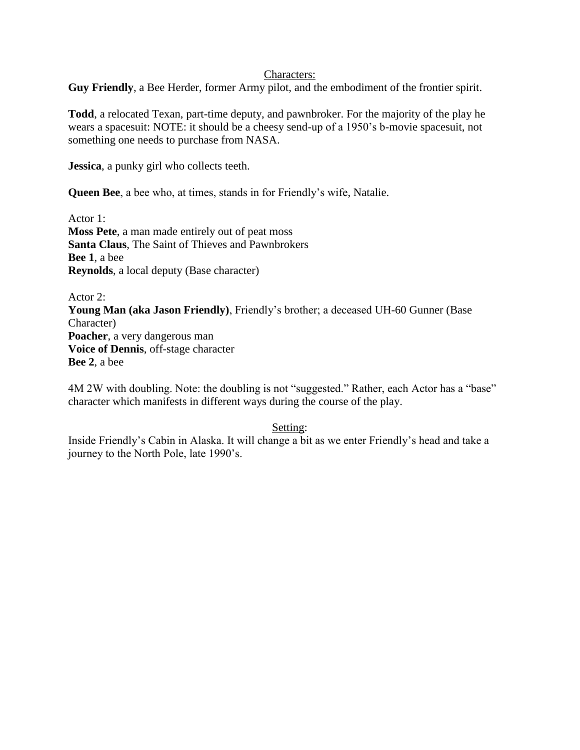#### Characters:

**Guy Friendly**, a Bee Herder, former Army pilot, and the embodiment of the frontier spirit.

**Todd**, a relocated Texan, part-time deputy, and pawnbroker. For the majority of the play he wears a spacesuit: NOTE: it should be a cheesy send-up of a 1950's b-movie spacesuit, not something one needs to purchase from NASA.

**Jessica**, a punky girl who collects teeth.

**Queen Bee**, a bee who, at times, stands in for Friendly's wife, Natalie.

Actor 1: **Moss Pete**, a man made entirely out of peat moss **Santa Claus**, The Saint of Thieves and Pawnbrokers **Bee 1**, a bee **Reynolds**, a local deputy (Base character)

Actor 2: **Young Man (aka Jason Friendly)**, Friendly's brother; a deceased UH-60 Gunner (Base Character) **Poacher**, a very dangerous man **Voice of Dennis**, off-stage character **Bee 2**, a bee

4M 2W with doubling. Note: the doubling is not "suggested." Rather, each Actor has a "base" character which manifests in different ways during the course of the play.

Setting:

Inside Friendly's Cabin in Alaska. It will change a bit as we enter Friendly's head and take a journey to the North Pole, late 1990's.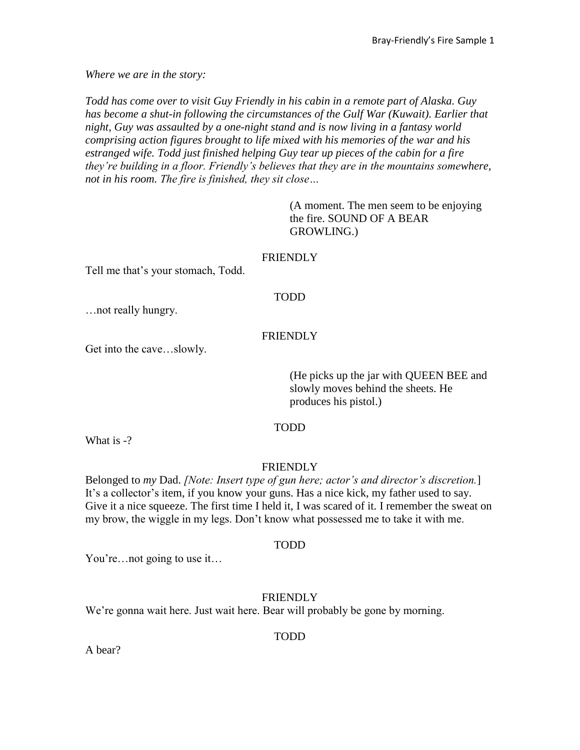*Where we are in the story:*

*Todd has come over to visit Guy Friendly in his cabin in a remote part of Alaska. Guy*  has become a shut-in following the circumstances of the Gulf War (Kuwait). Earlier that *night, Guy was assaulted by a one-night stand and is now living in a fantasy world comprising action figures brought to life mixed with his memories of the war and his estranged wife. Todd just finished helping Guy tear up pieces of the cabin for a fire they're building in a floor. Friendly's believes that they are in the mountains somewhere, not in his room. The fire is finished, they sit close…*

> (A moment. The men seem to be enjoying the fire. SOUND OF A BEAR GROWLING.)

#### FRIENDLY

Tell me that's your stomach, Todd.

#### TODD

…not really hungry.

### FRIENDLY

Get into the cave…slowly.

(He picks up the jar with QUEEN BEE and slowly moves behind the sheets. He produces his pistol.)

#### TODD

What is  $-$ ?

#### **FRIENDLY**

Belonged to *my* Dad. *[Note: Insert type of gun here; actor's and director's discretion.*] It's a collector's item, if you know your guns. Has a nice kick, my father used to say. Give it a nice squeeze. The first time I held it, I was scared of it. I remember the sweat on my brow, the wiggle in my legs. Don't know what possessed me to take it with me.

#### TODD

You're…not going to use it…

#### FRIENDLY

We're gonna wait here. Just wait here. Bear will probably be gone by morning.

#### TODD

A bear?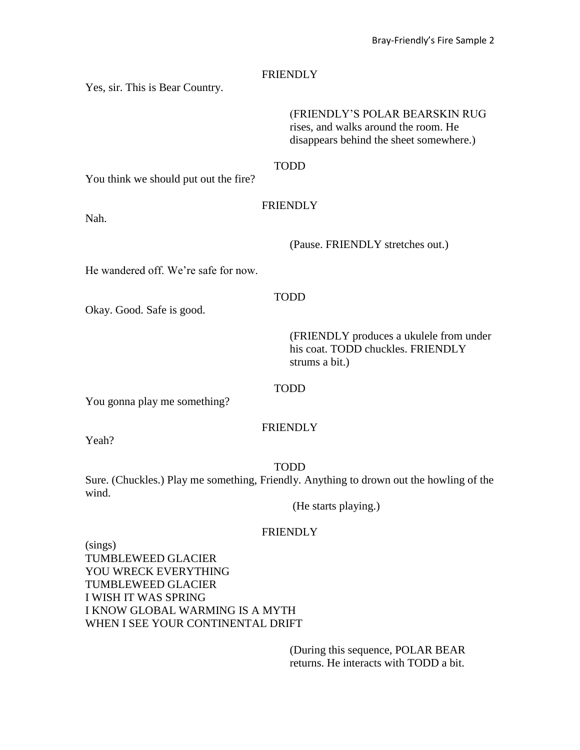Yes, sir. This is Bear Country.

(FRIENDLY'S POLAR BEARSKIN RUG rises, and walks around the room. He disappears behind the sheet somewhere.)

TODD

You think we should put out the fire?

### FRIENDLY

Nah.

(Pause. FRIENDLY stretches out.)

He wandered off. We're safe for now.

### TODD

Okay. Good. Safe is good.

(FRIENDLY produces a ukulele from under his coat. TODD chuckles. FRIENDLY strums a bit.)

#### TODD

You gonna play me something?

# **FRIENDLY**

Yeah?

#### TODD

Sure. (Chuckles.) Play me something, Friendly. Anything to drown out the howling of the wind.

(He starts playing.)

# **FRIENDLY**

(sings) TUMBLEWEED GLACIER YOU WRECK EVERYTHING TUMBLEWEED GLACIER I WISH IT WAS SPRING I KNOW GLOBAL WARMING IS A MYTH WHEN I SEE YOUR CONTINENTAL DRIFT

> (During this sequence, POLAR BEAR returns. He interacts with TODD a bit.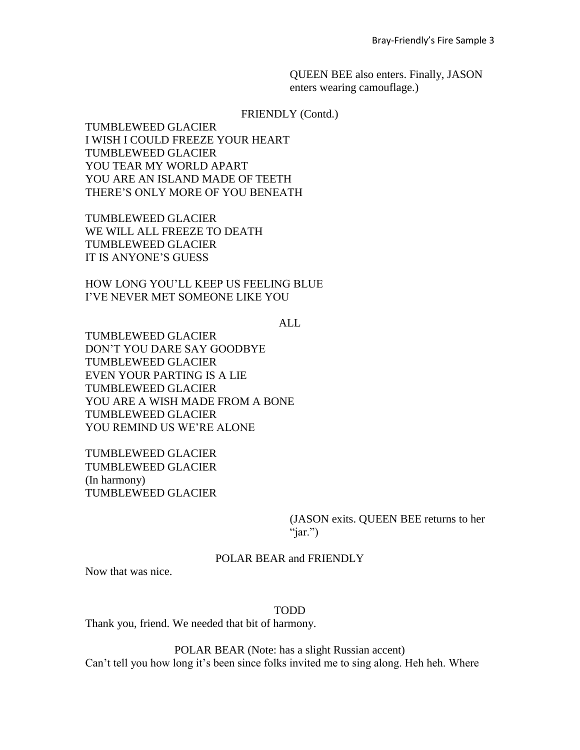QUEEN BEE also enters. Finally, JASON enters wearing camouflage.)

FRIENDLY (Contd.)

TUMBLEWEED GLACIER I WISH I COULD FREEZE YOUR HEART TUMBLEWEED GLACIER YOU TEAR MY WORLD APART YOU ARE AN ISLAND MADE OF TEETH THERE'S ONLY MORE OF YOU BENEATH

TUMBLEWEED GLACIER WE WILL ALL FREEZE TO DEATH TUMBLEWEED GLACIER IT IS ANYONE'S GUESS

HOW LONG YOU'LL KEEP US FEELING BLUE I'VE NEVER MET SOMEONE LIKE YOU

ALL

TUMBLEWEED GLACIER DON'T YOU DARE SAY GOODBYE TUMBLEWEED GLACIER EVEN YOUR PARTING IS A LIE TUMBLEWEED GLACIER YOU ARE A WISH MADE FROM A BONE TUMBLEWEED GLACIER YOU REMIND US WE'RE ALONE

TUMBLEWEED GLACIER TUMBLEWEED GLACIER (In harmony) TUMBLEWEED GLACIER

> (JASON exits. QUEEN BEE returns to her " $iar$ ")

POLAR BEAR and FRIENDLY

Now that was nice.

TODD

Thank you, friend. We needed that bit of harmony.

POLAR BEAR (Note: has a slight Russian accent) Can't tell you how long it's been since folks invited me to sing along. Heh heh. Where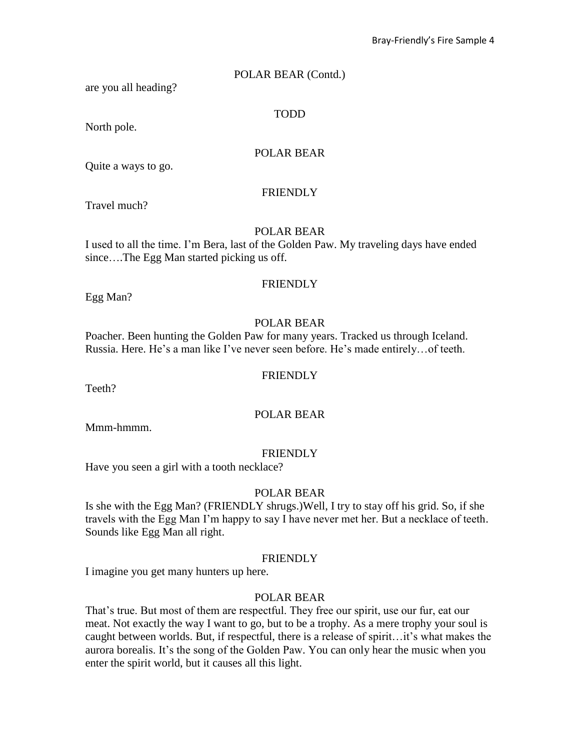### POLAR BEAR (Contd.)

are you all heading?

TODD

North pole.

# POLAR BEAR

Quite a ways to go.

### FRIENDLY

Travel much?

### POLAR BEAR

I used to all the time. I'm Bera, last of the Golden Paw. My traveling days have ended since....The Egg Man started picking us off.

### FRIENDLY

Egg Man?

# POLAR BEAR

Poacher. Been hunting the Golden Paw for many years. Tracked us through Iceland. Russia. Here. He's a man like I've never seen before. He's made entirely…of teeth.

### **FRIENDLY**

Teeth?

### POLAR BEAR

Mmm-hmmm.

### **FRIENDLY**

Have you seen a girl with a tooth necklace?

### POLAR BEAR

Is she with the Egg Man? (FRIENDLY shrugs.)Well, I try to stay off his grid. So, if she travels with the Egg Man I'm happy to say I have never met her. But a necklace of teeth. Sounds like Egg Man all right.

#### **FRIENDLY**

I imagine you get many hunters up here.

### POLAR BEAR

That's true. But most of them are respectful. They free our spirit, use our fur, eat our meat. Not exactly the way I want to go, but to be a trophy. As a mere trophy your soul is caught between worlds. But, if respectful, there is a release of spirit…it's what makes the aurora borealis. It's the song of the Golden Paw. You can only hear the music when you enter the spirit world, but it causes all this light.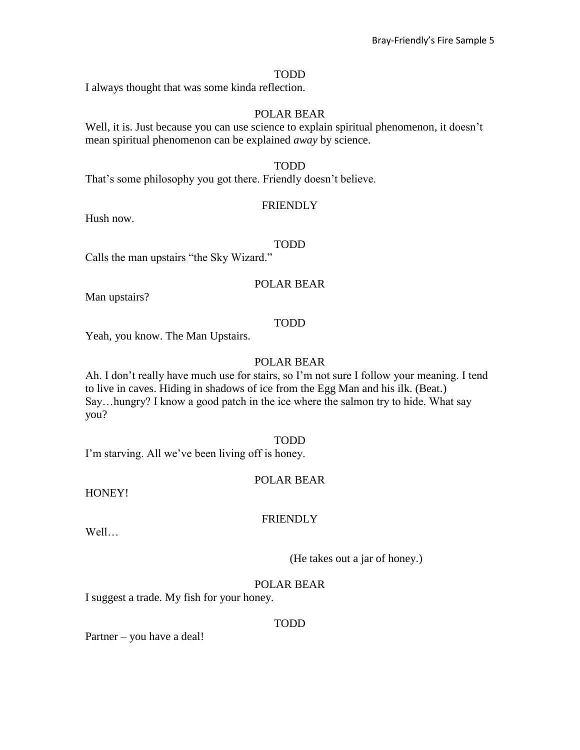#### TODD

I always thought that was some kinda reflection.

#### POLAR BEAR

Well, it is. Just because you can use science to explain spiritual phenomenon, it doesn't mean spiritual phenomenon can be explained *away* by science.

#### TODD

That's some philosophy you got there. Friendly doesn't believe.

#### FRIENDLY

Hush now.

#### TODD

Calls the man upstairs "the Sky Wizard."

### POLAR BEAR

Man upstairs?

### TODD

Yeah, you know. The Man Upstairs.

# POLAR BEAR

Ah. I don't really have much use for stairs, so I'm not sure I follow your meaning. I tend to live in caves. Hiding in shadows of ice from the Egg Man and his ilk. (Beat.) Say…hungry? I know a good patch in the ice where the salmon try to hide. What say you?

#### TODD

I'm starving. All we've been living off is honey.

# POLAR BEAR

HONEY!

### **FRIENDLY**

Well…

(He takes out a jar of honey.)

### POLAR BEAR

I suggest a trade. My fish for your honey.

#### TODD

Partner – you have a deal!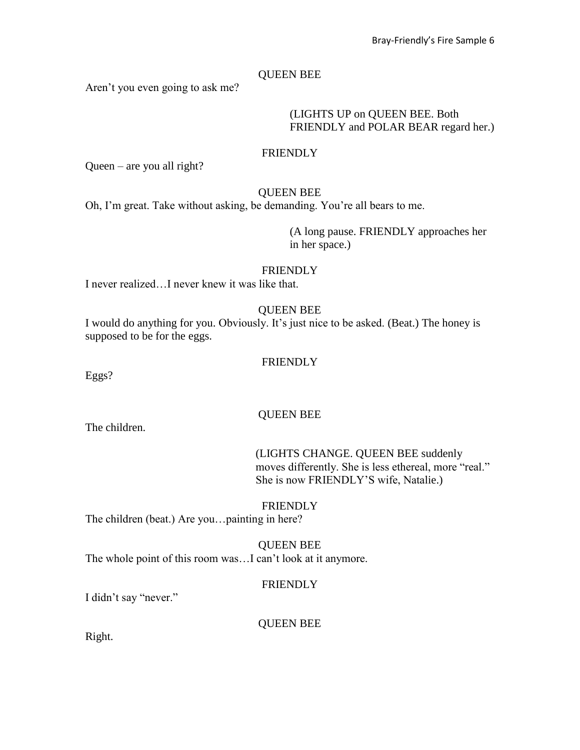### QUEEN BEE

Aren't you even going to ask me?

#### (LIGHTS UP on QUEEN BEE. Both FRIENDLY and POLAR BEAR regard her.)

#### FRIENDLY

Queen – are you all right?

#### QUEEN BEE

Oh, I'm great. Take without asking, be demanding. You're all bears to me.

(A long pause. FRIENDLY approaches her in her space.)

### **FRIENDLY**

I never realized…I never knew it was like that.

### QUEEN BEE

I would do anything for you. Obviously. It's just nice to be asked. (Beat.) The honey is supposed to be for the eggs.

### **FRIENDLY**

Eggs?

The children.

#### QUEEN BEE

(LIGHTS CHANGE. QUEEN BEE suddenly moves differently. She is less ethereal, more "real." She is now FRIENDLY'S wife, Natalie.)

# **FRIENDLY**

The children (beat.) Are you…painting in here?

QUEEN BEE The whole point of this room was…I can't look at it anymore.

### **FRIENDLY**

I didn't say "never."

#### QUEEN BEE

Right.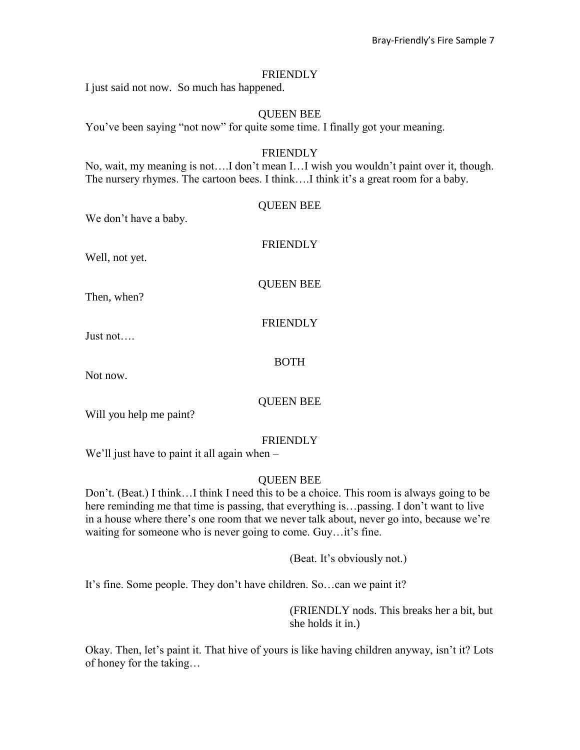I just said not now. So much has happened.

#### QUEEN BEE

You've been saying "not now" for quite some time. I finally got your meaning.

#### FRIENDLY

No, wait, my meaning is not….I don't mean I…I wish you wouldn't paint over it, though. The nursery rhymes. The cartoon bees. I think….I think it's a great room for a baby.

| We don't have a baby. | <b>QUEEN BEE</b> |
|-----------------------|------------------|
| Well, not yet.        | <b>FRIENDLY</b>  |
| Then, when?           | <b>QUEEN BEE</b> |
| Just not              | <b>FRIENDLY</b>  |
| Not now.              | <b>BOTH</b>      |
|                       | OUEEN BEE        |

Will you help me paint?

#### FRIENDLY

We'll just have to paint it all again when –

### QUEEN BEE

Don't. (Beat.) I think…I think I need this to be a choice. This room is always going to be here reminding me that time is passing, that everything is... passing. I don't want to live in a house where there's one room that we never talk about, never go into, because we're waiting for someone who is never going to come. Guy…it's fine.

(Beat. It's obviously not.)

It's fine. Some people. They don't have children. So…can we paint it?

(FRIENDLY nods. This breaks her a bit, but she holds it in.)

Okay. Then, let's paint it. That hive of yours is like having children anyway, isn't it? Lots of honey for the taking…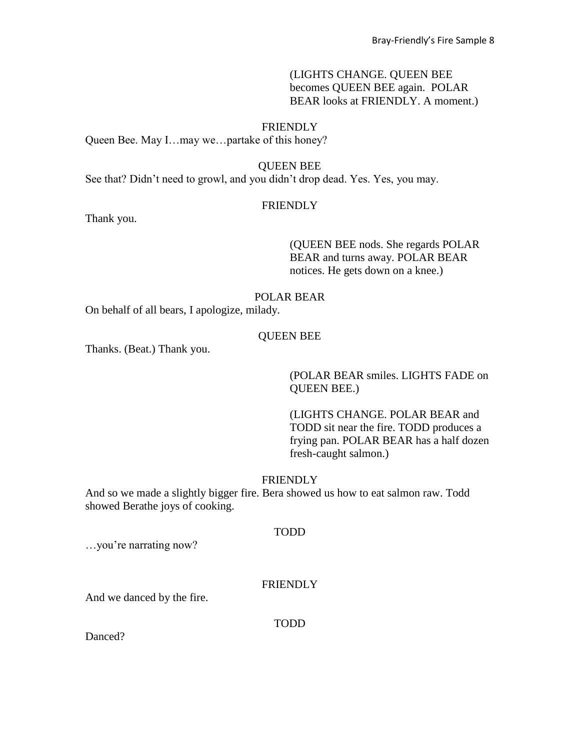# (LIGHTS CHANGE. QUEEN BEE becomes QUEEN BEE again. POLAR BEAR looks at FRIENDLY. A moment.)

# **FRIENDLY**

Queen Bee. May I...may we...partake of this honey?

#### QUEEN BEE

See that? Didn't need to growl, and you didn't drop dead. Yes. Yes, you may.

#### **FRIENDLY**

Thank you.

### (QUEEN BEE nods. She regards POLAR BEAR and turns away. POLAR BEAR notices. He gets down on a knee.)

### POLAR BEAR

On behalf of all bears, I apologize, milady.

#### QUEEN BEE

Thanks. (Beat.) Thank you.

(POLAR BEAR smiles. LIGHTS FADE on QUEEN BEE.)

(LIGHTS CHANGE. POLAR BEAR and TODD sit near the fire. TODD produces a frying pan. POLAR BEAR has a half dozen fresh-caught salmon.)

#### **FRIENDLY**

And so we made a slightly bigger fire. Bera showed us how to eat salmon raw. Todd showed Berathe joys of cooking.

#### TODD

…you're narrating now?

### **FRIENDLY**

And we danced by the fire.

TODD

Danced?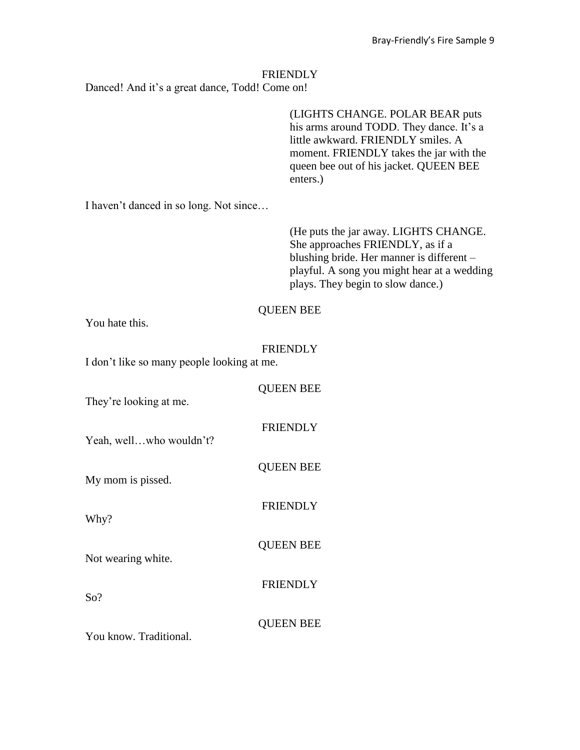Danced! And it's a great dance, Todd! Come on!

(LIGHTS CHANGE. POLAR BEAR puts his arms around TODD. They dance. It's a little awkward. FRIENDLY smiles. A moment. FRIENDLY takes the jar with the queen bee out of his jacket. QUEEN BEE enters.)

I haven't danced in so long. Not since…

(He puts the jar away. LIGHTS CHANGE. She approaches FRIENDLY, as if a blushing bride. Her manner is different – playful. A song you might hear at a wedding plays. They begin to slow dance.)

### QUEEN BEE

You hate this.

# FRIENDLY

I don't like so many people looking at me.

| They're looking at me.  | <b>QUEEN BEE</b> |
|-------------------------|------------------|
| Yeah, wellwho wouldn't? | <b>FRIENDLY</b>  |
| My mom is pissed.       | <b>QUEEN BEE</b> |
| Why?                    | <b>FRIENDLY</b>  |
| Not wearing white.      | <b>QUEEN BEE</b> |
| So?                     | <b>FRIENDLY</b>  |
| You know. Traditional.  | <b>QUEEN BEE</b> |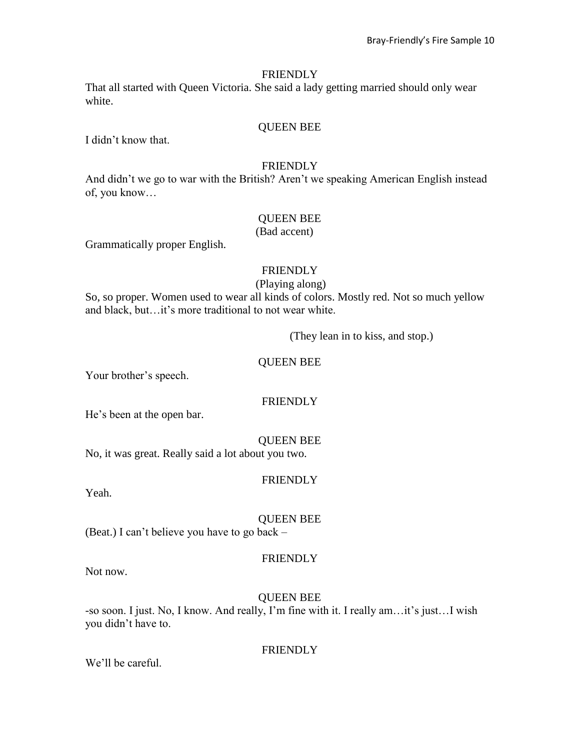That all started with Queen Victoria. She said a lady getting married should only wear white.

### QUEEN BEE

I didn't know that.

#### FRIENDLY

And didn't we go to war with the British? Aren't we speaking American English instead of, you know…

### QUEEN BEE

(Bad accent)

Grammatically proper English.

### **FRIENDLY**

#### (Playing along)

So, so proper. Women used to wear all kinds of colors. Mostly red. Not so much yellow and black, but…it's more traditional to not wear white.

(They lean in to kiss, and stop.)

### QUEEN BEE

Your brother's speech.

# **FRIENDLY**

He's been at the open bar.

#### QUEEN BEE

No, it was great. Really said a lot about you two.

### **FRIENDLY**

Yeah.

# QUEEN BEE

(Beat.) I can't believe you have to go back –

### **FRIENDLY**

Not now.

### QUEEN BEE

-so soon. I just. No, I know. And really, I'm fine with it. I really am…it's just…I wish you didn't have to.

### FRIENDLY

We'll be careful.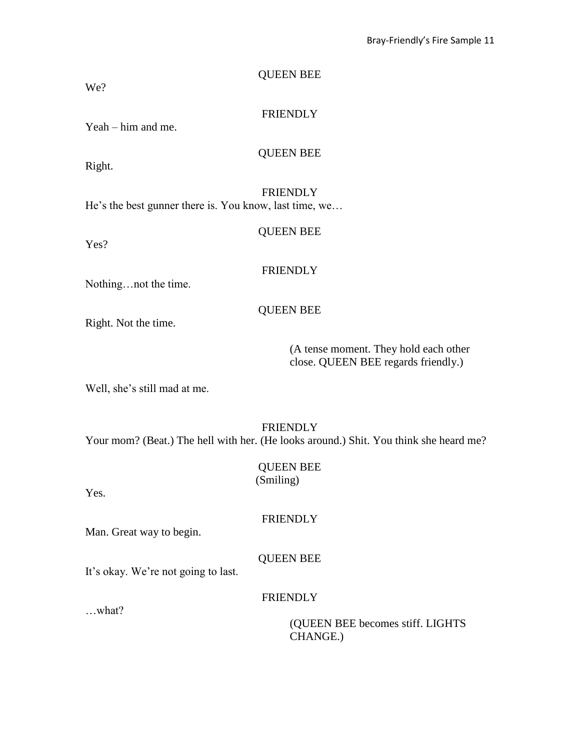| We?                                                                       | <b>QUEEN BEE</b> |
|---------------------------------------------------------------------------|------------------|
| $Yeah - him$ and me.                                                      | <b>FRIENDLY</b>  |
| Right.                                                                    | <b>QUEEN BEE</b> |
| <b>FRIENDLY</b><br>He's the best gunner there is. You know, last time, we |                  |
| Yes?                                                                      | <b>QUEEN BEE</b> |
|                                                                           | <b>FRIENDLY</b>  |

Nothing…not the time.

# QUEEN BEE

Right. Not the time.

(A tense moment. They hold each other close. QUEEN BEE regards friendly.)

Well, she's still mad at me.

# **FRIENDLY**

Your mom? (Beat.) The hell with her. (He looks around.) Shit. You think she heard me?

| <b>QUEEN BEE</b> |
|------------------|
| (Smiling)        |

Yes.

**FRIENDLY** 

Man. Great way to begin.

# QUEEN BEE

It's okay. We're not going to last.

#### FRIENDLY

…what?

(QUEEN BEE becomes stiff. LIGHTS CHANGE.)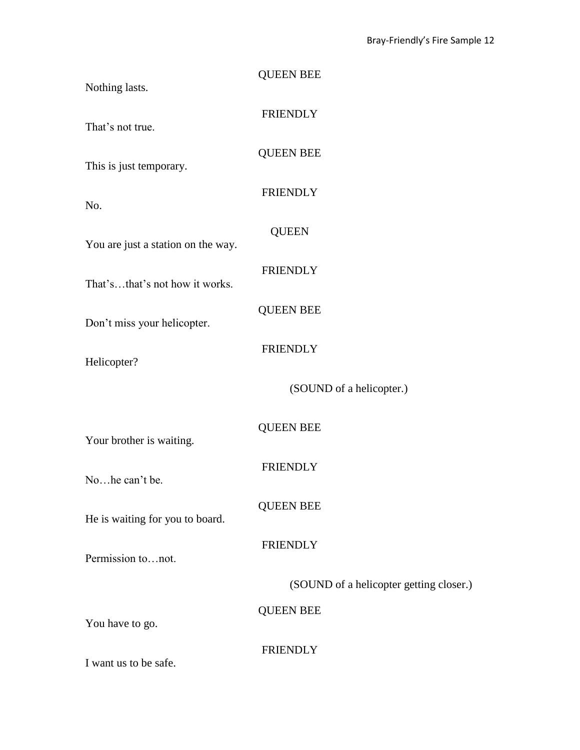| Nothing lasts.                     | <b>QUEEN BEE</b>                        |
|------------------------------------|-----------------------------------------|
| That's not true.                   | <b>FRIENDLY</b>                         |
| This is just temporary.            | <b>QUEEN BEE</b>                        |
| No.                                | <b>FRIENDLY</b>                         |
| You are just a station on the way. | <b>QUEEN</b>                            |
| That'sthat's not how it works.     | <b>FRIENDLY</b>                         |
| Don't miss your helicopter.        | <b>QUEEN BEE</b>                        |
| Helicopter?                        | <b>FRIENDLY</b>                         |
|                                    | (SOUND of a helicopter.)                |
| Your brother is waiting.           | <b>QUEEN BEE</b>                        |
| Nohe can't be.                     | <b>FRIENDLY</b>                         |
| He is waiting for you to board.    | <b>QUEEN BEE</b>                        |
| Permission tonot.                  | <b>FRIENDLY</b>                         |
|                                    | (SOUND of a helicopter getting closer.) |
| You have to go.                    | <b>QUEEN BEE</b>                        |
| I want us to be safe.              | <b>FRIENDLY</b>                         |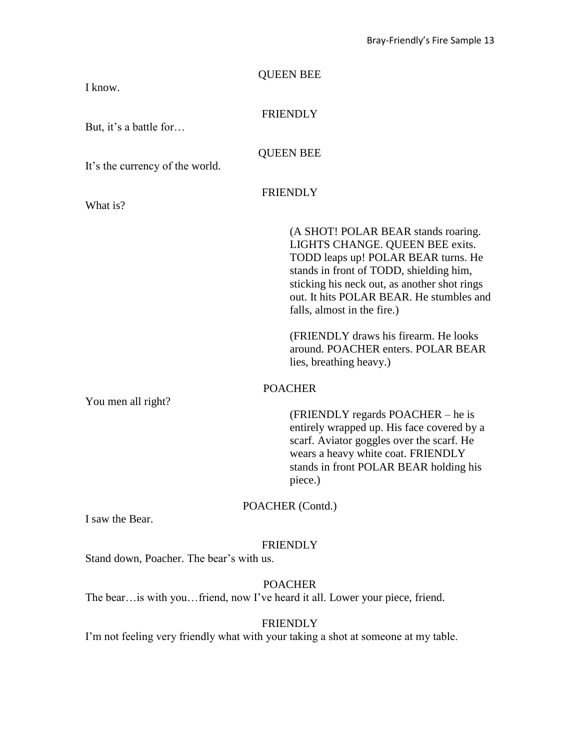| <b>QUEEN BEE</b><br>I know.                                                                           |                                                                                                                                                                                                                                                                                                                                                                                               |  |
|-------------------------------------------------------------------------------------------------------|-----------------------------------------------------------------------------------------------------------------------------------------------------------------------------------------------------------------------------------------------------------------------------------------------------------------------------------------------------------------------------------------------|--|
| <b>FRIENDLY</b><br>But, it's a battle for                                                             |                                                                                                                                                                                                                                                                                                                                                                                               |  |
| <b>QUEEN BEE</b><br>It's the currency of the world.                                                   |                                                                                                                                                                                                                                                                                                                                                                                               |  |
| <b>FRIENDLY</b><br>What is?                                                                           |                                                                                                                                                                                                                                                                                                                                                                                               |  |
|                                                                                                       | (A SHOT! POLAR BEAR stands roaring.<br>LIGHTS CHANGE. QUEEN BEE exits.<br>TODD leaps up! POLAR BEAR turns. He<br>stands in front of TODD, shielding him,<br>sticking his neck out, as another shot rings<br>out. It hits POLAR BEAR. He stumbles and<br>falls, almost in the fire.)<br>(FRIENDLY draws his firearm. He looks<br>around. POACHER enters. POLAR BEAR<br>lies, breathing heavy.) |  |
| <b>POACHER</b><br>You men all right?<br>piece.)                                                       | (FRIENDLY regards POACHER – he is<br>entirely wrapped up. His face covered by a<br>scarf. Aviator goggles over the scarf. He<br>wears a heavy white coat. FRIENDLY<br>stands in front POLAR BEAR holding his                                                                                                                                                                                  |  |
| POACHER (Contd.)<br>I saw the Bear.                                                                   |                                                                                                                                                                                                                                                                                                                                                                                               |  |
| <b>FRIENDLY</b><br>Stand down, Poacher. The bear's with us.                                           |                                                                                                                                                                                                                                                                                                                                                                                               |  |
| <b>POACHER</b><br>The bear is with you friend, now I've heard it all. Lower your piece, friend.       |                                                                                                                                                                                                                                                                                                                                                                                               |  |
| <b>FRIENDLY</b><br>I'm not feeling very friendly what with your taking a shot at someone at my table. |                                                                                                                                                                                                                                                                                                                                                                                               |  |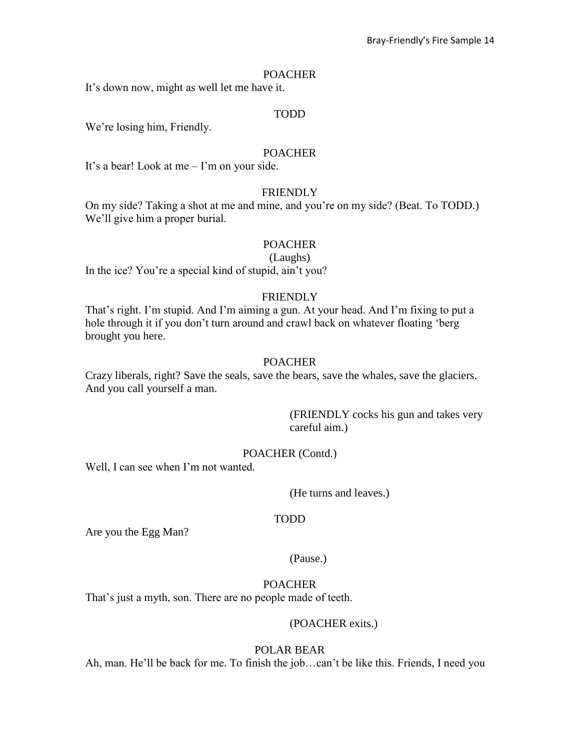#### **POACHER**

It's down now, might as well let me have it.

### TODD

We're losing him, Friendly.

#### POACHER

It's a bear! Look at me – I'm on your side.

# **FRIENDLY**

On my side? Taking a shot at me and mine, and you're on my side? (Beat. To TODD.) We'll give him a proper burial.

### **POACHER**

(Laughs)

In the ice? You're a special kind of stupid, ain't you?

## **FRIENDLY**

That's right. I'm stupid. And I'm aiming a gun. At your head. And I'm fixing to put a hole through it if you don't turn around and crawl back on whatever floating 'berg brought you here.

### **POACHER**

Crazy liberals, right? Save the seals, save the bears, save the whales, save the glaciers. And you call yourself a man.

> (FRIENDLY cocks his gun and takes very careful aim.)

### POACHER (Contd.)

Well, I can see when I'm not wanted.

(He turns and leaves.)

#### TODD

Are you the Egg Man?

(Pause.)

### POACHER

That's just a myth, son. There are no people made of teeth.

#### (POACHER exits.)

#### POLAR BEAR

Ah, man. He'll be back for me. To finish the job…can't be like this. Friends, I need you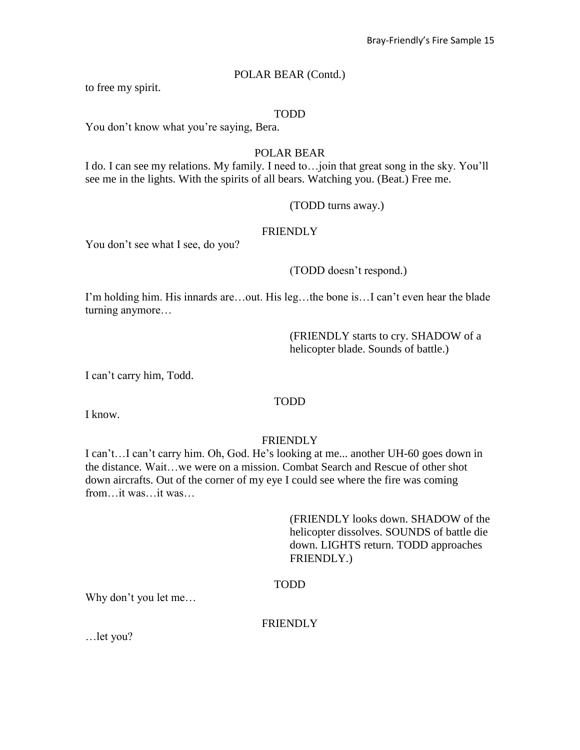#### POLAR BEAR (Contd.)

to free my spirit.

#### TODD

You don't know what you're saying, Bera.

#### POLAR BEAR

I do. I can see my relations. My family. I need to…join that great song in the sky. You'll see me in the lights. With the spirits of all bears. Watching you. (Beat.) Free me.

#### (TODD turns away.)

### FRIENDLY

You don't see what I see, do you?

#### (TODD doesn't respond.)

I'm holding him. His innards are…out. His leg…the bone is…I can't even hear the blade turning anymore…

> (FRIENDLY starts to cry. SHADOW of a helicopter blade. Sounds of battle.)

I can't carry him, Todd.

# TODD

I know.

#### **FRIENDLY**

I can't…I can't carry him. Oh, God. He's looking at me... another UH-60 goes down in the distance. Wait…we were on a mission. Combat Search and Rescue of other shot down aircrafts. Out of the corner of my eye I could see where the fire was coming from it was it was

> (FRIENDLY looks down. SHADOW of the helicopter dissolves. SOUNDS of battle die down. LIGHTS return. TODD approaches FRIENDLY.)

#### TODD

Why don't you let me…

#### **FRIENDLY**

…let you?